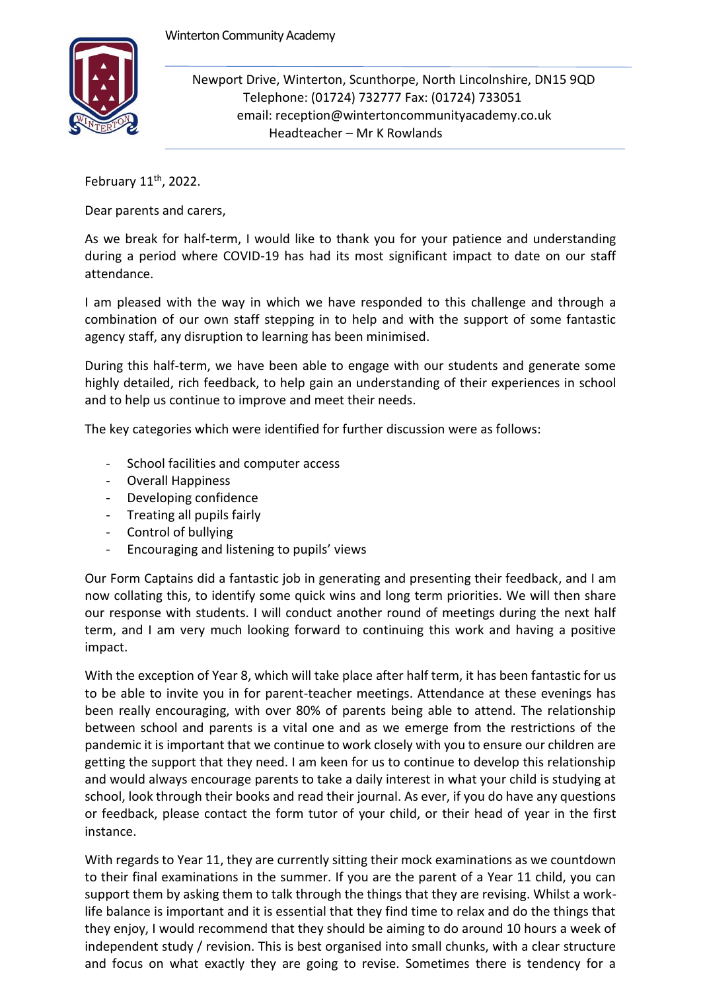

Newport Drive, Winterton, Scunthorpe, North Lincolnshire, DN15 9QD Telephone: (01724) 732777 Fax: (01724) 733051 email: reception@wintertoncommunityacademy.co.uk Headteacher – Mr K Rowlands

February  $11<sup>th</sup>$ , 2022.

Dear parents and carers,

As we break for half-term, I would like to thank you for your patience and understanding during a period where COVID-19 has had its most significant impact to date on our staff attendance.

I am pleased with the way in which we have responded to this challenge and through a combination of our own staff stepping in to help and with the support of some fantastic agency staff, any disruption to learning has been minimised.

During this half-term, we have been able to engage with our students and generate some highly detailed, rich feedback, to help gain an understanding of their experiences in school and to help us continue to improve and meet their needs.

The key categories which were identified for further discussion were as follows:

- School facilities and computer access
- Overall Happiness
- Developing confidence
- Treating all pupils fairly
- Control of bullying
- Encouraging and listening to pupils' views

Our Form Captains did a fantastic job in generating and presenting their feedback, and I am now collating this, to identify some quick wins and long term priorities. We will then share our response with students. I will conduct another round of meetings during the next half term, and I am very much looking forward to continuing this work and having a positive impact.

With the exception of Year 8, which will take place after half term, it has been fantastic for us to be able to invite you in for parent-teacher meetings. Attendance at these evenings has been really encouraging, with over 80% of parents being able to attend. The relationship between school and parents is a vital one and as we emerge from the restrictions of the pandemic it is important that we continue to work closely with you to ensure our children are getting the support that they need. I am keen for us to continue to develop this relationship and would always encourage parents to take a daily interest in what your child is studying at school, look through their books and read their journal. As ever, if you do have any questions or feedback, please contact the form tutor of your child, or their head of year in the first instance.

With regards to Year 11, they are currently sitting their mock examinations as we countdown to their final examinations in the summer. If you are the parent of a Year 11 child, you can support them by asking them to talk through the things that they are revising. Whilst a worklife balance is important and it is essential that they find time to relax and do the things that they enjoy, I would recommend that they should be aiming to do around 10 hours a week of independent study / revision. This is best organised into small chunks, with a clear structure and focus on what exactly they are going to revise. Sometimes there is tendency for a